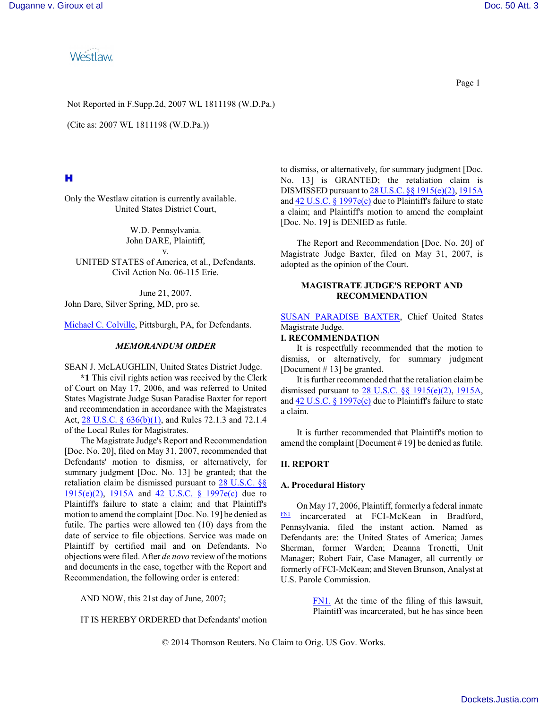**Westlaw** 

Not Reported in F.Supp.2d, 2007 WL 1811198 (W.D.Pa.)

(Cite as: 2007 WL 1811198 (W.D.Pa.))

# н

Only the Westlaw citation is currently available. United States District Court,

> W.D. Pennsylvania. John DARE, Plaintiff,

v. UNITED STATES of America, et al., Defendants. Civil Action No. 06-115 Erie.

June 21, 2007. John Dare, Silver Spring, MD, pro se.

[Michael C. Colville](http://www.westlaw.com/Find/Default.wl?rs=dfa1.0&vr=2.0&DB=PROFILER-WLD&DocName=0195716201&FindType=h), Pittsburgh, PA, for Defendants.

### *MEMORANDUM ORDER*

SEAN J. McLAUGHLIN, United States District Judge.

**\*1** This civil rights action was received by the Clerk of Court on May 17, 2006, and was referred to United States Magistrate Judge Susan Paradise Baxter for report and recommendation in accordance with the Magistrates Act, 28 U.S.C. § [636\(b\)\(1\)](http://www.westlaw.com/Find/Default.wl?rs=dfa1.0&vr=2.0&DB=1000546&DocName=28USCAS636&FindType=L), and Rules 72.1.3 and 72.1.4 of the Local Rules for Magistrates.

The Magistrate Judge's Report and Recommendation [Doc. No. 20], filed on May 31, 2007, recommended that Defendants' motion to dismiss, or alternatively, for summary judgment [Doc. No. 13] be granted; that the retaliation claim be dismissed pursuant to 28 [U.S.C. §§](http://www.westlaw.com/Find/Default.wl?rs=dfa1.0&vr=2.0&DB=1000546&DocName=28USCAS1915&FindType=L) [1915\(e\)\(2\)](http://www.westlaw.com/Find/Default.wl?rs=dfa1.0&vr=2.0&DB=1000546&DocName=28USCAS1915&FindType=L), [1915A](http://www.westlaw.com/Find/Default.wl?rs=dfa1.0&vr=2.0&DB=1000546&DocName=28USCAS1915A&FindType=L) and 42 [U.S.C. §](http://www.westlaw.com/Find/Default.wl?rs=dfa1.0&vr=2.0&DB=1000546&DocName=42USCAS1997E&FindType=L) 1997e(c) due to Plaintiff's failure to state a claim; and that Plaintiff's motion to amend the complaint [Doc. No. 19] be denied as futile. The parties were allowed ten (10) days from the date of service to file objections. Service was made on Plaintiff by certified mail and on Defendants. No objections were filed. After *de novo* review of the motions and documents in the case, together with the Report and Recommendation, the following order is entered:

AND NOW, this 21st day of June, 2007;

IT IS HEREBY ORDERED that Defendants' motion

to dismiss, or alternatively, for summary judgment [Doc. No. 13] is GRANTED; the retaliation claim is DISMISSED pursuant to 28 U.S.C. §§ [1915\(e\)\(2\)](http://www.westlaw.com/Find/Default.wl?rs=dfa1.0&vr=2.0&DB=1000546&DocName=28USCAS1915&FindType=L), [1915A](http://www.westlaw.com/Find/Default.wl?rs=dfa1.0&vr=2.0&DB=1000546&DocName=28USCAS1915A&FindType=L) and  $42 \text{ U.S.C.}$  § [1997e\(c\)](http://www.westlaw.com/Find/Default.wl?rs=dfa1.0&vr=2.0&DB=1000546&DocName=42USCAS1997E&FindType=L) due to Plaintiff's failure to state a claim; and Plaintiff's motion to amend the complaint [Doc. No. 19] is DENIED as futile.

The Report and Recommendation [Doc. No. 20] of Magistrate Judge Baxter, filed on May 31, 2007, is adopted as the opinion of the Court.

### **MAGISTRATE JUDGE'S REPORT AND RECOMMENDATION**

SUSAN [PARADISE BAXTER](http://www.westlaw.com/Find/Default.wl?rs=dfa1.0&vr=2.0&DB=PROFILER-WLD&DocName=0244686501&FindType=h), Chief United States Magistrate Judge.

#### **I. RECOMMENDATION**

It is respectfully recommended that the motion to dismiss, or alternatively, for summary judgment [Document # 13] be granted.

It is further recommended that the retaliation claimbe dismissed pursuant to [28 U.S.C. §§](http://www.westlaw.com/Find/Default.wl?rs=dfa1.0&vr=2.0&DB=1000546&DocName=28USCAS1915&FindType=L) 1915(e)(2), [1915A](http://www.westlaw.com/Find/Default.wl?rs=dfa1.0&vr=2.0&DB=1000546&DocName=28USCAS1915A&FindType=L), and 42 U.S.C. § [1997e\(c\)](http://www.westlaw.com/Find/Default.wl?rs=dfa1.0&vr=2.0&DB=1000546&DocName=42USCAS1997E&FindType=L) due to Plaintiff's failure to state a claim.

It is further recommended that Plaintiff's motion to amend the complaint [Document # 19] be denied as futile.

## **II. REPORT**

### **A. Procedural History**

<span id="page-0-1"></span>On May 17, 2006, Plaintiff, formerly a federal inmate [FN1](#page-0-0) incarcerated at FCI-McKean in Bradford, Pennsylvania, filed the instant action. Named as Defendants are: the United States of America; James Sherman, former Warden; Deanna Tronetti, Unit Manager; Robert Fair, Case Manager, all currently or formerly of FCI-McKean; and Steven Brunson, Analyst at U.S. Parole Commission.

> <span id="page-0-0"></span>[FN1.](#page-0-1) At the time of the filing of this lawsuit, Plaintiff was incarcerated, but he has since been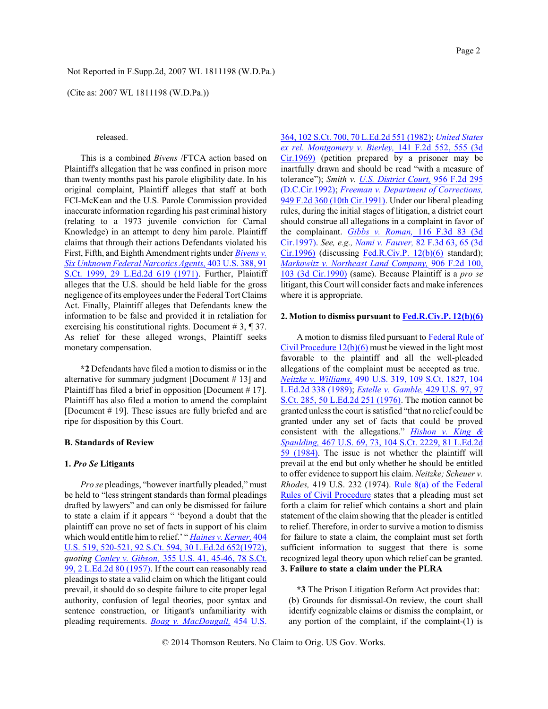(Cite as: 2007 WL 1811198 (W.D.Pa.))

### released.

This is a combined *Bivens* /FTCA action based on Plaintiff's allegation that he was confined in prison more than twenty months past his parole eligibility date. In his original complaint, Plaintiff alleges that staff at both FCI-McKean and the U.S. Parole Commission provided inaccurate information regarding his past criminal history (relating to a 1973 juvenile conviction for Carnal Knowledge) in an attempt to deny him parole. Plaintiff claims that through their actions Defendants violated his First, Fifth, and Eighth Amendment rights under *[Bivens v.](http://www.westlaw.com/Find/Default.wl?rs=dfa1.0&vr=2.0&DB=708&FindType=Y&SerialNum=1971127105) Six Unknown [Federal Narcotics Agents,](http://www.westlaw.com/Find/Default.wl?rs=dfa1.0&vr=2.0&DB=708&FindType=Y&SerialNum=1971127105)* 403 [U.S. 388, 91](http://www.westlaw.com/Find/Default.wl?rs=dfa1.0&vr=2.0&DB=708&FindType=Y&SerialNum=1971127105) [S.Ct. 1999, 29](http://www.westlaw.com/Find/Default.wl?rs=dfa1.0&vr=2.0&DB=708&FindType=Y&SerialNum=1971127105) L.Ed.2d 619 (1971). Further, Plaintiff alleges that the U.S. should be held liable for the gross negligence of its employees under the Federal Tort Claims Act. Finally, Plaintiff alleges that Defendants knew the information to be false and provided it in retaliation for exercising his constitutional rights. Document # 3, ¶ 37. As relief for these alleged wrongs, Plaintiff seeks monetary compensation.

**\*2** Defendants have filed a motion to dismiss or in the alternative for summary judgment [Document # 13] and Plaintiff has filed a brief in opposition [Document # 17]. Plaintiff has also filed a motion to amend the complaint [Document # 19]. These issues are fully briefed and are ripe for disposition by this Court.

### **B. Standards of Review**

### **1.** *Pro Se* **Litigants**

*Pro se* pleadings, "however inartfully pleaded," must be held to "less stringent standards than formal pleadings drafted by lawyers" and can only be dismissed for failure to state a claim if it appears " 'beyond a doubt that the plaintiff can prove no set of facts in support of his claim which would entitle him to relief.' " *[Haines v. Kerner,](http://www.westlaw.com/Find/Default.wl?rs=dfa1.0&vr=2.0&DB=708&FindType=Y&SerialNum=1972127052)* [404](http://www.westlaw.com/Find/Default.wl?rs=dfa1.0&vr=2.0&DB=708&FindType=Y&SerialNum=1972127052) [U.S. 519, 520-521, 92 S.Ct. 594, 30](http://www.westlaw.com/Find/Default.wl?rs=dfa1.0&vr=2.0&DB=708&FindType=Y&SerialNum=1972127052) L.Ed.2d 652(1972), *quoting [Conley v. Gibson,](http://www.westlaw.com/Find/Default.wl?rs=dfa1.0&vr=2.0&DB=708&FindType=Y&SerialNum=1957120403)* 355 [U.S. 41, 45-46, 78](http://www.westlaw.com/Find/Default.wl?rs=dfa1.0&vr=2.0&DB=708&FindType=Y&SerialNum=1957120403) S.Ct. 99, 2 [L.Ed.2d 80](http://www.westlaw.com/Find/Default.wl?rs=dfa1.0&vr=2.0&DB=708&FindType=Y&SerialNum=1957120403) (1957). If the court can reasonably read pleadings to state a valid claim on which the litigant could prevail, it should do so despite failure to cite proper legal authority, confusion of legal theories, poor syntax and sentence construction, or litigant's unfamiliarity with pleading requirements. *Boag [v. MacDougall,](http://www.westlaw.com/Find/Default.wl?rs=dfa1.0&vr=2.0&DB=708&FindType=Y&SerialNum=1982101921)* 454 [U.S.](http://www.westlaw.com/Find/Default.wl?rs=dfa1.0&vr=2.0&DB=708&FindType=Y&SerialNum=1982101921) 364, 102 [S.Ct. 700, 70](http://www.westlaw.com/Find/Default.wl?rs=dfa1.0&vr=2.0&DB=708&FindType=Y&SerialNum=1982101921) L.Ed.2d 551 (1982); *[United](http://www.westlaw.com/Find/Default.wl?rs=dfa1.0&vr=2.0&DB=350&FindType=Y&ReferencePositionType=S&SerialNum=1944116475&ReferencePosition=555) States [ex rel. Montgomery v. Bierley,](http://www.westlaw.com/Find/Default.wl?rs=dfa1.0&vr=2.0&DB=350&FindType=Y&ReferencePositionType=S&SerialNum=1944116475&ReferencePosition=555)* 141 F.2d [552, 555](http://www.westlaw.com/Find/Default.wl?rs=dfa1.0&vr=2.0&DB=350&FindType=Y&ReferencePositionType=S&SerialNum=1944116475&ReferencePosition=555) (3d [Cir.1969\)](http://www.westlaw.com/Find/Default.wl?rs=dfa1.0&vr=2.0&DB=350&FindType=Y&ReferencePositionType=S&SerialNum=1944116475&ReferencePosition=555) (petition prepared by a prisoner may be inartfully drawn and should be read "with a measure of tolerance"); *Smith v. [U.S. District Court,](http://www.westlaw.com/Find/Default.wl?rs=dfa1.0&vr=2.0&DB=350&FindType=Y&SerialNum=1992044069)* 956 [F.2d](http://www.westlaw.com/Find/Default.wl?rs=dfa1.0&vr=2.0&DB=350&FindType=Y&SerialNum=1992044069) 295 [\(D.C.Cir.1992\)](http://www.westlaw.com/Find/Default.wl?rs=dfa1.0&vr=2.0&DB=350&FindType=Y&SerialNum=1992044069); *Freeman [v. Department of Corrections,](http://www.westlaw.com/Find/Default.wl?rs=dfa1.0&vr=2.0&DB=350&FindType=Y&SerialNum=1991188699)* 949 F.2d 360 (10th [Cir.1991\)](http://www.westlaw.com/Find/Default.wl?rs=dfa1.0&vr=2.0&DB=350&FindType=Y&SerialNum=1991188699). Under our liberal pleading rules, during the initial stages of litigation, a district court should construe all allegations in a complaint in favor of the complainant. *Gibbs [v. Roman,](http://www.westlaw.com/Find/Default.wl?rs=dfa1.0&vr=2.0&DB=506&FindType=Y&SerialNum=1997122914)* 116 [F.3d](http://www.westlaw.com/Find/Default.wl?rs=dfa1.0&vr=2.0&DB=506&FindType=Y&SerialNum=1997122914) 83 (3d [Cir.1997\)](http://www.westlaw.com/Find/Default.wl?rs=dfa1.0&vr=2.0&DB=506&FindType=Y&SerialNum=1997122914). *See, e.g., [Nami v. Fauver,](http://www.westlaw.com/Find/Default.wl?rs=dfa1.0&vr=2.0&DB=506&FindType=Y&ReferencePositionType=S&SerialNum=1996102682&ReferencePosition=65)* 82 F.3d [63, 65](http://www.westlaw.com/Find/Default.wl?rs=dfa1.0&vr=2.0&DB=506&FindType=Y&ReferencePositionType=S&SerialNum=1996102682&ReferencePosition=65) (3d [Cir.1996\)](http://www.westlaw.com/Find/Default.wl?rs=dfa1.0&vr=2.0&DB=506&FindType=Y&ReferencePositionType=S&SerialNum=1996102682&ReferencePosition=65) (discussing [Fed.R.Civ.P. 12\(b\)\(6\)](http://www.westlaw.com/Find/Default.wl?rs=dfa1.0&vr=2.0&DB=1004365&DocName=USFRCPR12&FindType=L) standard); *[Markowitz v. Northeast](http://www.westlaw.com/Find/Default.wl?rs=dfa1.0&vr=2.0&DB=350&FindType=Y&ReferencePositionType=S&SerialNum=1990096647&ReferencePosition=103) Land Company,* 906 [F.2d](http://www.westlaw.com/Find/Default.wl?rs=dfa1.0&vr=2.0&DB=350&FindType=Y&ReferencePositionType=S&SerialNum=1990096647&ReferencePosition=103) 100, 103 (3d [Cir.1990\)](http://www.westlaw.com/Find/Default.wl?rs=dfa1.0&vr=2.0&DB=350&FindType=Y&ReferencePositionType=S&SerialNum=1990096647&ReferencePosition=103) (same). Because Plaintiff is a *pro se* litigant, this Court will consider facts and make inferences where it is appropriate.

#### **2. Motion to dismiss pursuant to [Fed.R.Civ.P. 12\(b\)\(6\)](http://www.westlaw.com/Find/Default.wl?rs=dfa1.0&vr=2.0&DB=1004365&DocName=USFRCPR12&FindType=L)**

A motion to dismiss filed pursuant to [Federal Rule of](http://www.westlaw.com/Find/Default.wl?rs=dfa1.0&vr=2.0&DB=1004365&DocName=USFRCPR12&FindType=L) [Civil Procedure 12\(b\)\(6\)](http://www.westlaw.com/Find/Default.wl?rs=dfa1.0&vr=2.0&DB=1004365&DocName=USFRCPR12&FindType=L) must be viewed in the light most favorable to the plaintiff and all the well-pleaded allegations of the complaint must be accepted as true. *[Neitzke v. Williams,](http://www.westlaw.com/Find/Default.wl?rs=dfa1.0&vr=2.0&DB=708&FindType=Y&SerialNum=1989063358)* 490 U.S. 319, 109 [S.Ct. 1827, 104](http://www.westlaw.com/Find/Default.wl?rs=dfa1.0&vr=2.0&DB=708&FindType=Y&SerialNum=1989063358) [L.Ed.2d](http://www.westlaw.com/Find/Default.wl?rs=dfa1.0&vr=2.0&DB=708&FindType=Y&SerialNum=1989063358) 338 (1989); *Estelle v. [Gamble,](http://www.westlaw.com/Find/Default.wl?rs=dfa1.0&vr=2.0&DB=708&FindType=Y&SerialNum=1976141341)* [429 U.S. 97, 97](http://www.westlaw.com/Find/Default.wl?rs=dfa1.0&vr=2.0&DB=708&FindType=Y&SerialNum=1976141341) [S.Ct. 285, 50 L.Ed.2d 251](http://www.westlaw.com/Find/Default.wl?rs=dfa1.0&vr=2.0&DB=708&FindType=Y&SerialNum=1976141341) (1976). The motion cannot be granted unless the court is satisfied "that no relief could be granted under any set of facts that could be proved consistent with the allegations." *Hishon [v. King](http://www.westlaw.com/Find/Default.wl?rs=dfa1.0&vr=2.0&DB=708&FindType=Y&SerialNum=1984124905) & [Spaulding,](http://www.westlaw.com/Find/Default.wl?rs=dfa1.0&vr=2.0&DB=708&FindType=Y&SerialNum=1984124905)* 467 [U.S. 69, 73, 104](http://www.westlaw.com/Find/Default.wl?rs=dfa1.0&vr=2.0&DB=708&FindType=Y&SerialNum=1984124905) S.Ct. 2229, 81 L.Ed.2d 59 [\(1984\)](http://www.westlaw.com/Find/Default.wl?rs=dfa1.0&vr=2.0&DB=708&FindType=Y&SerialNum=1984124905). The issue is not whether the plaintiff will prevail at the end but only whether he should be entitled to offer evidence to support his claim. *Neitzke; Scheuer v. Rhodes,* 419 U.S. 232 (1974). [Rule 8\(a\) of](http://www.westlaw.com/Find/Default.wl?rs=dfa1.0&vr=2.0&DB=1004365&DocName=USFRCPR8&FindType=L) the Federal Rules of [Civil Procedure](http://www.westlaw.com/Find/Default.wl?rs=dfa1.0&vr=2.0&DB=1004365&DocName=USFRCPR8&FindType=L) states that a pleading must set forth a claim for relief which contains a short and plain statement of the claim showing that the pleader is entitled to relief. Therefore, in order to survive a motion to dismiss for failure to state a claim, the complaint must set forth sufficient information to suggest that there is some recognized legal theory upon which relief can be granted. **3. Failure to state a claim under the PLRA**

**\*3** The Prison Litigation Reform Act provides that: (b) Grounds for dismissal-On review, the court shall identify cognizable claims or dismiss the complaint, or any portion of the complaint, if the complaint-(1) is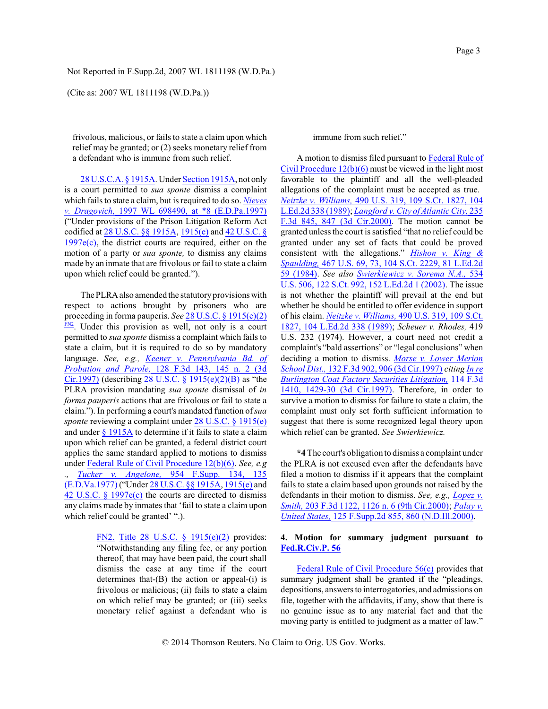(Cite as: 2007 WL 1811198 (W.D.Pa.))

frivolous, malicious, or fails to state a claim upon which relief may be granted; or (2) seeks monetary relief from a defendant who is immune from such relief.

28 [U.S.C.A. §](http://www.westlaw.com/Find/Default.wl?rs=dfa1.0&vr=2.0&DB=1000546&DocName=28USCAS1915A&FindType=L) 1915A. Under [Section](http://www.westlaw.com/Find/Default.wl?rs=dfa1.0&vr=2.0&DB=1000546&DocName=28USCAS1915A&FindType=L) 1915A, not only is a court permitted to *sua sponte* dismiss a complaint which fails to state a claim, but is required to do so. *[Nieves](http://www.westlaw.com/Find/Default.wl?rs=dfa1.0&vr=2.0&DB=0000999&FindType=Y&SerialNum=1997224255) [v. Dragovich,](http://www.westlaw.com/Find/Default.wl?rs=dfa1.0&vr=2.0&DB=0000999&FindType=Y&SerialNum=1997224255)* 1997 WL [698490, at \\*8](http://www.westlaw.com/Find/Default.wl?rs=dfa1.0&vr=2.0&DB=0000999&FindType=Y&SerialNum=1997224255) (E.D.Pa.1997) ("Under provisions of the Prison Litigation Reform Act codified at 28 [U.S.C. §§](http://www.westlaw.com/Find/Default.wl?rs=dfa1.0&vr=2.0&DB=1000546&DocName=28USCAS1915A&FindType=L) 1915A, [1915\(e\)](http://www.westlaw.com/Find/Default.wl?rs=dfa1.0&vr=2.0&DB=1000546&DocName=28USCAS1915&FindType=L) and 42 [U.S.C. §](http://www.westlaw.com/Find/Default.wl?rs=dfa1.0&vr=2.0&DB=1000546&DocName=42USCAS1997E&FindType=L)  $1997e(c)$ , the district courts are required, either on the motion of a party or *sua sponte,* to dismiss any claims made by an inmate that are frivolous or fail to state a claim upon which relief could be granted.").

<span id="page-2-1"></span>The PLRA also amended the statutory provisions with respect to actions brought by prisoners who are proceeding in forma pauperis. *See* 28 U.S.C. § [1915\(e\)\(2\)](http://www.westlaw.com/Find/Default.wl?rs=dfa1.0&vr=2.0&DB=1000546&DocName=28USCAS1915&FindType=L)  $F_{N2}$ . Under this provision as well, not only is a court permitted to *sua sponte* dismiss a complaint which fails to state a claim, but it is required to do so by mandatory language. *See, e.g., [Keener v. Pennsylvania](http://www.westlaw.com/Find/Default.wl?rs=dfa1.0&vr=2.0&DB=506&FindType=Y&ReferencePositionType=S&SerialNum=1997209272&ReferencePosition=145) Bd. of [Probation](http://www.westlaw.com/Find/Default.wl?rs=dfa1.0&vr=2.0&DB=506&FindType=Y&ReferencePositionType=S&SerialNum=1997209272&ReferencePosition=145) and Parole,* 128 F.3d [143, 145](http://www.westlaw.com/Find/Default.wl?rs=dfa1.0&vr=2.0&DB=506&FindType=Y&ReferencePositionType=S&SerialNum=1997209272&ReferencePosition=145) n. 2 (3d [Cir.1997\)](http://www.westlaw.com/Find/Default.wl?rs=dfa1.0&vr=2.0&DB=506&FindType=Y&ReferencePositionType=S&SerialNum=1997209272&ReferencePosition=145) (describing 28 U.S.C. § [1915\(e\)\(2\)\(B\)](http://www.westlaw.com/Find/Default.wl?rs=dfa1.0&vr=2.0&DB=1000546&DocName=28USCAS1915&FindType=L) as "the PLRA provision mandating *sua sponte* dismissal of *in forma pauperis* actions that are frivolous or fail to state a claim."). In performing a court's mandated function of*sua sponte* reviewing a complaint under [28 U.S.C. §](http://www.westlaw.com/Find/Default.wl?rs=dfa1.0&vr=2.0&DB=1000546&DocName=28USCAS1915&FindType=L) 1915(e) and under § [1915A](http://www.westlaw.com/Find/Default.wl?rs=dfa1.0&vr=2.0&DB=1000546&DocName=28USCAS1915A&FindType=L) to determine if it fails to state a claim upon which relief can be granted, a federal district court applies the same standard applied to motions to dismiss under Federal Rule of [Civil Procedure 12\(b\)\(6\)](http://www.westlaw.com/Find/Default.wl?rs=dfa1.0&vr=2.0&DB=1004365&DocName=USFRCPR12&FindType=L). *See, e.g ., [Tucker v. Angelone,](http://www.westlaw.com/Find/Default.wl?rs=dfa1.0&vr=2.0&DB=345&FindType=Y&ReferencePositionType=S&SerialNum=1997044224&ReferencePosition=135)* 954 [F.Supp. 134, 135](http://www.westlaw.com/Find/Default.wl?rs=dfa1.0&vr=2.0&DB=345&FindType=Y&ReferencePositionType=S&SerialNum=1997044224&ReferencePosition=135) [\(E.D.Va.1977\)](http://www.westlaw.com/Find/Default.wl?rs=dfa1.0&vr=2.0&DB=345&FindType=Y&ReferencePositionType=S&SerialNum=1997044224&ReferencePosition=135) ("Under 28 [U.S.C. §§](http://www.westlaw.com/Find/Default.wl?rs=dfa1.0&vr=2.0&DB=1000546&DocName=28USCAS1915A&FindType=L) 1915A, [1915\(e\)](http://www.westlaw.com/Find/Default.wl?rs=dfa1.0&vr=2.0&DB=1000546&DocName=28USCAS1915&FindType=L) and 42 U.S.C. § [1997e\(c\)](http://www.westlaw.com/Find/Default.wl?rs=dfa1.0&vr=2.0&DB=1000546&DocName=42USCAS1997E&FindType=L) the courts are directed to dismiss any claims made by inmates that 'fail to state a claim upon which relief could be granted' ".).

> <span id="page-2-0"></span>[FN2.](#page-2-1) Title 28 U.S.C. § [1915\(e\)\(2\)](http://www.westlaw.com/Find/Default.wl?rs=dfa1.0&vr=2.0&DB=1000546&DocName=28USCAS1915&FindType=L) provides: "Notwithstanding any filing fee, or any portion thereof, that may have been paid, the court shall dismiss the case at any time if the court determines that-(B) the action or appeal-(i) is frivolous or malicious; (ii) fails to state a claim on which relief may be granted; or (iii) seeks monetary relief against a defendant who is

immune from such relief."

A motion to dismiss filed pursuant to [Federal Rule of](http://www.westlaw.com/Find/Default.wl?rs=dfa1.0&vr=2.0&DB=1004365&DocName=USFRCPR12&FindType=L) [Civil Procedure 12\(b\)\(6\)](http://www.westlaw.com/Find/Default.wl?rs=dfa1.0&vr=2.0&DB=1004365&DocName=USFRCPR12&FindType=L) must be viewed in the light most favorable to the plaintiff and all the well-pleaded allegations of the complaint must be accepted as true. *[Neitzke v. Williams,](http://www.westlaw.com/Find/Default.wl?rs=dfa1.0&vr=2.0&DB=708&FindType=Y&SerialNum=1989063358)* 490 [U.S. 319, 109](http://www.westlaw.com/Find/Default.wl?rs=dfa1.0&vr=2.0&DB=708&FindType=Y&SerialNum=1989063358) S.Ct. 1827, 104 [L.Ed.2d](http://www.westlaw.com/Find/Default.wl?rs=dfa1.0&vr=2.0&DB=708&FindType=Y&SerialNum=1989063358) 338 (1989); *Langford [v. City ofAtlantic City,](http://www.westlaw.com/Find/Default.wl?rs=dfa1.0&vr=2.0&DB=506&FindType=Y&ReferencePositionType=S&SerialNum=2000653587&ReferencePosition=847)* [235](http://www.westlaw.com/Find/Default.wl?rs=dfa1.0&vr=2.0&DB=506&FindType=Y&ReferencePositionType=S&SerialNum=2000653587&ReferencePosition=847) F.3d 845, 847 (3d [Cir.2000\)](http://www.westlaw.com/Find/Default.wl?rs=dfa1.0&vr=2.0&DB=506&FindType=Y&ReferencePositionType=S&SerialNum=2000653587&ReferencePosition=847). The motion cannot be granted unless the court is satisfied "that no relief could be granted under any set of facts that could be proved consistent with the allegations." *Hishon [v. King](http://www.westlaw.com/Find/Default.wl?rs=dfa1.0&vr=2.0&DB=708&FindType=Y&SerialNum=1984124905) & [Spaulding,](http://www.westlaw.com/Find/Default.wl?rs=dfa1.0&vr=2.0&DB=708&FindType=Y&SerialNum=1984124905)* 467 [U.S. 69, 73, 104](http://www.westlaw.com/Find/Default.wl?rs=dfa1.0&vr=2.0&DB=708&FindType=Y&SerialNum=1984124905) S.Ct. 2229, 81 L.Ed.2d 59 [\(1984\)](http://www.westlaw.com/Find/Default.wl?rs=dfa1.0&vr=2.0&DB=708&FindType=Y&SerialNum=1984124905). *See also [Swierkiewicz](http://www.westlaw.com/Find/Default.wl?rs=dfa1.0&vr=2.0&DB=708&FindType=Y&SerialNum=2002142931) v. Sorema N.A.,* [534](http://www.westlaw.com/Find/Default.wl?rs=dfa1.0&vr=2.0&DB=708&FindType=Y&SerialNum=2002142931) U.S. 506, 122 [S.Ct. 992, 152 L.Ed.2d](http://www.westlaw.com/Find/Default.wl?rs=dfa1.0&vr=2.0&DB=708&FindType=Y&SerialNum=2002142931) 1 (2002). The issue is not whether the plaintiff will prevail at the end but whether he should be entitled to offer evidence in support of his claim. *[Neitzke v. Williams,](http://www.westlaw.com/Find/Default.wl?rs=dfa1.0&vr=2.0&DB=708&FindType=Y&SerialNum=1989063358)* 490 [U.S. 319, 109](http://www.westlaw.com/Find/Default.wl?rs=dfa1.0&vr=2.0&DB=708&FindType=Y&SerialNum=1989063358) S.Ct. [1827, 104 L.Ed.2d](http://www.westlaw.com/Find/Default.wl?rs=dfa1.0&vr=2.0&DB=708&FindType=Y&SerialNum=1989063358) 338 (1989); *Scheuer v. Rhodes,* 419 U.S. 232 (1974). However, a court need not credit a complaint's "bald assertions" or "legal conclusions" when deciding a motion to dismiss. *[Morse v. Lower](http://www.westlaw.com/Find/Default.wl?rs=dfa1.0&vr=2.0&DB=506&FindType=Y&ReferencePositionType=S&SerialNum=1997249145&ReferencePosition=906) Merion [School Dist.,](http://www.westlaw.com/Find/Default.wl?rs=dfa1.0&vr=2.0&DB=506&FindType=Y&ReferencePositionType=S&SerialNum=1997249145&ReferencePosition=906)* 132 F.3d 902, 906 [\(3d Cir.1997\)](http://www.westlaw.com/Find/Default.wl?rs=dfa1.0&vr=2.0&DB=506&FindType=Y&ReferencePositionType=S&SerialNum=1997249145&ReferencePosition=906) *citing [In](http://www.westlaw.com/Find/Default.wl?rs=dfa1.0&vr=2.0&DB=506&FindType=Y&ReferencePositionType=S&SerialNum=1997124449&ReferencePosition=1429) re Burlington Coat [Factory Securities Litigation,](http://www.westlaw.com/Find/Default.wl?rs=dfa1.0&vr=2.0&DB=506&FindType=Y&ReferencePositionType=S&SerialNum=1997124449&ReferencePosition=1429)* 114 [F.3d](http://www.westlaw.com/Find/Default.wl?rs=dfa1.0&vr=2.0&DB=506&FindType=Y&ReferencePositionType=S&SerialNum=1997124449&ReferencePosition=1429) [1410, 1429-30](http://www.westlaw.com/Find/Default.wl?rs=dfa1.0&vr=2.0&DB=506&FindType=Y&ReferencePositionType=S&SerialNum=1997124449&ReferencePosition=1429) (3d Cir.1997). Therefore, in order to survive a motion to dismiss for failure to state a claim, the complaint must only set forth sufficient information to suggest that there is some recognized legal theory upon which relief can be granted. *See Swierkiewicz.*

**\*4** The court's obligation to dismiss a complaint under the PLRA is not excused even after the defendants have filed a motion to dismiss if it appears that the complaint fails to state a claim based upon grounds not raised by the defendants in their motion to dismiss. *See, e.g., [Lopez v.](http://www.westlaw.com/Find/Default.wl?rs=dfa1.0&vr=2.0&DB=506&FindType=Y&ReferencePositionType=S&SerialNum=2000051408&ReferencePosition=1126) [Smith,](http://www.westlaw.com/Find/Default.wl?rs=dfa1.0&vr=2.0&DB=506&FindType=Y&ReferencePositionType=S&SerialNum=2000051408&ReferencePosition=1126)* 203 F.3d 1122, 1126 [n. 6 \(9th Cir.2000\)](http://www.westlaw.com/Find/Default.wl?rs=dfa1.0&vr=2.0&DB=506&FindType=Y&ReferencePositionType=S&SerialNum=2000051408&ReferencePosition=1126); *[Palay v.](http://www.westlaw.com/Find/Default.wl?rs=dfa1.0&vr=2.0&DB=4637&FindType=Y&ReferencePositionType=S&SerialNum=2000532032&ReferencePosition=860) [United States,](http://www.westlaw.com/Find/Default.wl?rs=dfa1.0&vr=2.0&DB=4637&FindType=Y&ReferencePositionType=S&SerialNum=2000532032&ReferencePosition=860)* [125 F.Supp.2d 855, 860 \(N.D.Ill.2000\)](http://www.westlaw.com/Find/Default.wl?rs=dfa1.0&vr=2.0&DB=4637&FindType=Y&ReferencePositionType=S&SerialNum=2000532032&ReferencePosition=860).

## **4. Motion for summary judgment pursuant to [Fed.R.Civ.P. 56](http://www.westlaw.com/Find/Default.wl?rs=dfa1.0&vr=2.0&DB=1004365&DocName=USFRCPR56&FindType=L)**

Federal Rule of [Civil Procedure 56\(c\)](http://www.westlaw.com/Find/Default.wl?rs=dfa1.0&vr=2.0&DB=1004365&DocName=USFRCPR56&FindType=L) provides that summary judgment shall be granted if the "pleadings, depositions, answers to interrogatories, and admissions on file, together with the affidavits, if any, show that there is no genuine issue as to any material fact and that the moving party is entitled to judgment as a matter of law."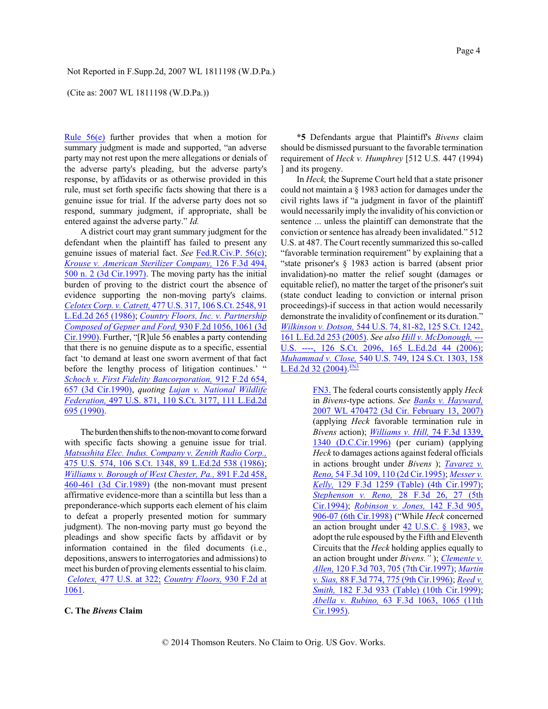### (Cite as: 2007 WL 1811198 (W.D.Pa.))

[Rule 56\(e\)](http://www.westlaw.com/Find/Default.wl?rs=dfa1.0&vr=2.0&DB=1004365&DocName=USFRCPR56&FindType=L) further provides that when a motion for summary judgment is made and supported, "an adverse party may not rest upon the mere allegations or denials of the adverse party's pleading, but the adverse party's response, by affidavits or as otherwise provided in this rule, must set forth specific facts showing that there is a genuine issue for trial. If the adverse party does not so respond, summary judgment, if appropriate, shall be entered against the adverse party." *Id.*

A district court may grant summary judgment for the defendant when the plaintiff has failed to present any genuine issues of material fact. *See* [Fed.R.Civ.P. 56\(c\)](http://www.westlaw.com/Find/Default.wl?rs=dfa1.0&vr=2.0&DB=1004365&DocName=USFRCPR56&FindType=L); *[Krouse v. American](http://www.westlaw.com/Find/Default.wl?rs=dfa1.0&vr=2.0&DB=506&FindType=Y&ReferencePositionType=S&SerialNum=1997196383&ReferencePosition=500) Sterilizer Company,* 126 [F.3d](http://www.westlaw.com/Find/Default.wl?rs=dfa1.0&vr=2.0&DB=506&FindType=Y&ReferencePositionType=S&SerialNum=1997196383&ReferencePosition=500) 494, 500 n. 2 [\(3d Cir.1997\)](http://www.westlaw.com/Find/Default.wl?rs=dfa1.0&vr=2.0&DB=506&FindType=Y&ReferencePositionType=S&SerialNum=1997196383&ReferencePosition=500). The moving party has the initial burden of proving to the district court the absence of evidence supporting the non-moving party's claims. *[Celotex Corp. v. Catrett,](http://www.westlaw.com/Find/Default.wl?rs=dfa1.0&vr=2.0&DB=708&FindType=Y&SerialNum=1986132677)* 477 U.S. 317, 106 [S.Ct. 2548, 91](http://www.westlaw.com/Find/Default.wl?rs=dfa1.0&vr=2.0&DB=708&FindType=Y&SerialNum=1986132677) L.Ed.2d [265 \(1986\)](http://www.westlaw.com/Find/Default.wl?rs=dfa1.0&vr=2.0&DB=708&FindType=Y&SerialNum=1986132677); *[Country Floors, Inc. v. Partnership](http://www.westlaw.com/Find/Default.wl?rs=dfa1.0&vr=2.0&DB=350&FindType=Y&ReferencePositionType=S&SerialNum=1991074584&ReferencePosition=1061) Composed [of Gepner and](http://www.westlaw.com/Find/Default.wl?rs=dfa1.0&vr=2.0&DB=350&FindType=Y&ReferencePositionType=S&SerialNum=1991074584&ReferencePosition=1061) Ford,* 930 F.2d [1056, 1061](http://www.westlaw.com/Find/Default.wl?rs=dfa1.0&vr=2.0&DB=350&FindType=Y&ReferencePositionType=S&SerialNum=1991074584&ReferencePosition=1061) (3d [Cir.1990\)](http://www.westlaw.com/Find/Default.wl?rs=dfa1.0&vr=2.0&DB=350&FindType=Y&ReferencePositionType=S&SerialNum=1991074584&ReferencePosition=1061). Further, "[R]ule 56 enables a party contending that there is no genuine dispute as to a specific, essential fact 'to demand at least one sworn averment of that fact before the lengthy process of litigation continues.' " *Schoch [v. First Fidelity Bancorporation,](http://www.westlaw.com/Find/Default.wl?rs=dfa1.0&vr=2.0&DB=350&FindType=Y&ReferencePositionType=S&SerialNum=1990125986&ReferencePosition=657)* 912 [F.2d](http://www.westlaw.com/Find/Default.wl?rs=dfa1.0&vr=2.0&DB=350&FindType=Y&ReferencePositionType=S&SerialNum=1990125986&ReferencePosition=657) 654, 657 (3d [Cir.1990\)](http://www.westlaw.com/Find/Default.wl?rs=dfa1.0&vr=2.0&DB=350&FindType=Y&ReferencePositionType=S&SerialNum=1990125986&ReferencePosition=657), *quoting Lujan [v. National Wildlife](http://www.westlaw.com/Find/Default.wl?rs=dfa1.0&vr=2.0&DB=708&FindType=Y&SerialNum=1990097949) [Federation,](http://www.westlaw.com/Find/Default.wl?rs=dfa1.0&vr=2.0&DB=708&FindType=Y&SerialNum=1990097949)* 497 U.S. 871, 110 [S.Ct. 3177, 111](http://www.westlaw.com/Find/Default.wl?rs=dfa1.0&vr=2.0&DB=708&FindType=Y&SerialNum=1990097949) L.Ed.2d [695 \(1990\)](http://www.westlaw.com/Find/Default.wl?rs=dfa1.0&vr=2.0&DB=708&FindType=Y&SerialNum=1990097949).

The burden then shifts to the non-movant to come forward with specific facts showing a genuine issue for trial. *Matsushita [Elec. Indus. Company v. Zenith](http://www.westlaw.com/Find/Default.wl?rs=dfa1.0&vr=2.0&DB=708&FindType=Y&SerialNum=1986115992) Radio Corp.,* 475 [U.S. 574, 106](http://www.westlaw.com/Find/Default.wl?rs=dfa1.0&vr=2.0&DB=708&FindType=Y&SerialNum=1986115992) S.Ct. 1348, 89 L.Ed.2d 538 (1986); *Williams v. Borough [of West Chester, Pa.,](http://www.westlaw.com/Find/Default.wl?rs=dfa1.0&vr=2.0&DB=350&FindType=Y&ReferencePositionType=S&SerialNum=1989165175&ReferencePosition=460)* 891 [F.2d](http://www.westlaw.com/Find/Default.wl?rs=dfa1.0&vr=2.0&DB=350&FindType=Y&ReferencePositionType=S&SerialNum=1989165175&ReferencePosition=460) 458, 460-461 (3d [Cir.1989\)](http://www.westlaw.com/Find/Default.wl?rs=dfa1.0&vr=2.0&DB=350&FindType=Y&ReferencePositionType=S&SerialNum=1989165175&ReferencePosition=460) (the non-movant must present affirmative evidence-more than a scintilla but less than a preponderance-which supports each element of his claim to defeat a properly presented motion for summary judgment). The non-moving party must go beyond the pleadings and show specific facts by affidavit or by information contained in the filed documents (i.e., depositions, answers to interrogatories and admissions) to meet his burden of proving elements essential to his claim. *[Celotex,](http://www.westlaw.com/Find/Default.wl?rs=dfa1.0&vr=2.0&DB=780&FindType=Y&ReferencePositionType=S&SerialNum=1986132677&ReferencePosition=322)* 477 [U.S. at 322;](http://www.westlaw.com/Find/Default.wl?rs=dfa1.0&vr=2.0&DB=780&FindType=Y&ReferencePositionType=S&SerialNum=1986132677&ReferencePosition=322) *[Country Floors,](http://www.westlaw.com/Find/Default.wl?rs=dfa1.0&vr=2.0&DB=350&FindType=Y&ReferencePositionType=S&SerialNum=1991074584&ReferencePosition=1061)* [930 F.2d](http://www.westlaw.com/Find/Default.wl?rs=dfa1.0&vr=2.0&DB=350&FindType=Y&ReferencePositionType=S&SerialNum=1991074584&ReferencePosition=1061) at [1061](http://www.westlaw.com/Find/Default.wl?rs=dfa1.0&vr=2.0&DB=350&FindType=Y&ReferencePositionType=S&SerialNum=1991074584&ReferencePosition=1061).

## **C. The** *Bivens* **Claim**

**\*5** Defendants argue that Plaintiff's *Bivens* claim should be dismissed pursuant to the favorable termination requirement of *Heck v. Humphrey* [512 U.S. 447 (1994) ] and its progeny.

In *Heck,* the Supreme Court held that a state prisoner could not maintain a § 1983 action for damages under the civil rights laws if "a judgment in favor of the plaintiff would necessarily imply the invalidity of his conviction or sentence ... unless the plaintiff can demonstrate that the conviction or sentence has already been invalidated." 512 U.S. at 487. The Court recently summarized this so-called "favorable termination requirement" by explaining that a "state prisoner's § 1983 action is barred (absent prior invalidation)-no matter the relief sought (damages or equitable relief), no matter the target of the prisoner's suit (state conduct leading to conviction or internal prison proceedings)-if success in that action would necessarily demonstrate the invalidity of confinement or its duration." *Wilkinson [v. Dotson,](http://www.westlaw.com/Find/Default.wl?rs=dfa1.0&vr=2.0&DB=708&FindType=Y&SerialNum=2006315804)* [544 U.S. 74, 81-82, 125](http://www.westlaw.com/Find/Default.wl?rs=dfa1.0&vr=2.0&DB=708&FindType=Y&SerialNum=2006315804) S.Ct. 1242, 161 [L.Ed.2d](http://www.westlaw.com/Find/Default.wl?rs=dfa1.0&vr=2.0&DB=708&FindType=Y&SerialNum=2006315804) 253 (2005). *See also [Hill v. McDonough,](http://www.westlaw.com/Find/Default.wl?rs=dfa1.0&vr=2.0&DB=708&FindType=Y&SerialNum=2009333405)* [---](http://www.westlaw.com/Find/Default.wl?rs=dfa1.0&vr=2.0&DB=708&FindType=Y&SerialNum=2009333405) U.S. ----, 126 [S.Ct. 2096, 165](http://www.westlaw.com/Find/Default.wl?rs=dfa1.0&vr=2.0&DB=708&FindType=Y&SerialNum=2009333405) L.Ed.2d 44 (2006); *[Muhammad v. Close,](http://www.westlaw.com/Find/Default.wl?rs=dfa1.0&vr=2.0&DB=708&FindType=Y&SerialNum=2004158409)* [540 U.S. 749, 124 S.Ct. 1303, 158](http://www.westlaw.com/Find/Default.wl?rs=dfa1.0&vr=2.0&DB=708&FindType=Y&SerialNum=2004158409) [L.Ed.2d 32 \(2004\)](http://www.westlaw.com/Find/Default.wl?rs=dfa1.0&vr=2.0&DB=708&FindType=Y&SerialNum=2004158409). EN3

> <span id="page-3-1"></span><span id="page-3-0"></span>[FN3.](#page-3-1) The federal courts consistently apply *Heck* in *Bivens*-type actions. *See [Banks v. Hayward,](http://www.westlaw.com/Find/Default.wl?rs=dfa1.0&vr=2.0&DB=0000999&FindType=Y&SerialNum=2011462779)* 2007 WL 470472 (3d [Cir. February](http://www.westlaw.com/Find/Default.wl?rs=dfa1.0&vr=2.0&DB=0000999&FindType=Y&SerialNum=2011462779) 13, 2007) (applying *Heck* favorable termination rule in *Bivens* action); *[Williams v.](http://www.westlaw.com/Find/Default.wl?rs=dfa1.0&vr=2.0&DB=506&FindType=Y&ReferencePositionType=S&SerialNum=1996038194&ReferencePosition=1340) Hill,* [74 F.3d](http://www.westlaw.com/Find/Default.wl?rs=dfa1.0&vr=2.0&DB=506&FindType=Y&ReferencePositionType=S&SerialNum=1996038194&ReferencePosition=1340) 1339, 1340 [\(D.C.Cir.1996\)](http://www.westlaw.com/Find/Default.wl?rs=dfa1.0&vr=2.0&DB=506&FindType=Y&ReferencePositionType=S&SerialNum=1996038194&ReferencePosition=1340) (per curiam) (applying *Heck* to damages actions against federal officials in actions brought under *Bivens* ); *[Tavarez v.](http://www.westlaw.com/Find/Default.wl?rs=dfa1.0&vr=2.0&DB=506&FindType=Y&ReferencePositionType=S&SerialNum=1995101327&ReferencePosition=110) [Reno,](http://www.westlaw.com/Find/Default.wl?rs=dfa1.0&vr=2.0&DB=506&FindType=Y&ReferencePositionType=S&SerialNum=1995101327&ReferencePosition=110)* 54 F.3d [109, 110 \(2d](http://www.westlaw.com/Find/Default.wl?rs=dfa1.0&vr=2.0&DB=506&FindType=Y&ReferencePositionType=S&SerialNum=1995101327&ReferencePosition=110) Cir.1995); *[Messer v.](http://www.westlaw.com/Find/Default.wl?rs=dfa1.0&vr=2.0&DB=506&FindType=Y&SerialNum=1997227847) [Kelly,](http://www.westlaw.com/Find/Default.wl?rs=dfa1.0&vr=2.0&DB=506&FindType=Y&SerialNum=1997227847)* 129 F.3d 1259 [\(Table\) \(4th](http://www.westlaw.com/Find/Default.wl?rs=dfa1.0&vr=2.0&DB=506&FindType=Y&SerialNum=1997227847) Cir.1997); *[Stephenson](http://www.westlaw.com/Find/Default.wl?rs=dfa1.0&vr=2.0&DB=506&FindType=Y&ReferencePositionType=S&SerialNum=1994154850&ReferencePosition=27) v. Reno,* 28 F.3d [26, 27](http://www.westlaw.com/Find/Default.wl?rs=dfa1.0&vr=2.0&DB=506&FindType=Y&ReferencePositionType=S&SerialNum=1994154850&ReferencePosition=27) (5th [Cir.1994\)](http://www.westlaw.com/Find/Default.wl?rs=dfa1.0&vr=2.0&DB=506&FindType=Y&ReferencePositionType=S&SerialNum=1994154850&ReferencePosition=27); *[Robinson](http://www.westlaw.com/Find/Default.wl?rs=dfa1.0&vr=2.0&DB=506&FindType=Y&ReferencePositionType=S&SerialNum=1998095570&ReferencePosition=906) v. Jones,* 142 [F.3d](http://www.westlaw.com/Find/Default.wl?rs=dfa1.0&vr=2.0&DB=506&FindType=Y&ReferencePositionType=S&SerialNum=1998095570&ReferencePosition=906) 905, 906-07 (6th [Cir.1998\)](http://www.westlaw.com/Find/Default.wl?rs=dfa1.0&vr=2.0&DB=506&FindType=Y&ReferencePositionType=S&SerialNum=1998095570&ReferencePosition=906) ("While *Heck* concerned an action brought under 42 [U.S.C. §](http://www.westlaw.com/Find/Default.wl?rs=dfa1.0&vr=2.0&DB=1000546&DocName=42USCAS1983&FindType=L) 1983, we adopt the rule espoused by the Fifth and Eleventh Circuits that the *Heck* holding applies equally to an action brought under *Bivens."* ); *[Clemente v.](http://www.westlaw.com/Find/Default.wl?rs=dfa1.0&vr=2.0&DB=506&FindType=Y&ReferencePositionType=S&SerialNum=1997155450&ReferencePosition=705) [Allen,](http://www.westlaw.com/Find/Default.wl?rs=dfa1.0&vr=2.0&DB=506&FindType=Y&ReferencePositionType=S&SerialNum=1997155450&ReferencePosition=705)* 120 F.3d 703, 705 (7th [Cir.1997\)](http://www.westlaw.com/Find/Default.wl?rs=dfa1.0&vr=2.0&DB=506&FindType=Y&ReferencePositionType=S&SerialNum=1997155450&ReferencePosition=705); *[Martin](http://www.westlaw.com/Find/Default.wl?rs=dfa1.0&vr=2.0&DB=506&FindType=Y&ReferencePositionType=S&SerialNum=1996151451&ReferencePosition=775) [v. Sias,](http://www.westlaw.com/Find/Default.wl?rs=dfa1.0&vr=2.0&DB=506&FindType=Y&ReferencePositionType=S&SerialNum=1996151451&ReferencePosition=775)* 88 [F.3d 774, 775](http://www.westlaw.com/Find/Default.wl?rs=dfa1.0&vr=2.0&DB=506&FindType=Y&ReferencePositionType=S&SerialNum=1996151451&ReferencePosition=775) (9th Cir.1996); *[Reed](http://www.westlaw.com/Find/Default.wl?rs=dfa1.0&vr=2.0&DB=506&FindType=Y&SerialNum=1999132075) v. [Smith,](http://www.westlaw.com/Find/Default.wl?rs=dfa1.0&vr=2.0&DB=506&FindType=Y&SerialNum=1999132075)* 182 F.3d 933 [\(Table\) \(10th](http://www.westlaw.com/Find/Default.wl?rs=dfa1.0&vr=2.0&DB=506&FindType=Y&SerialNum=1999132075) Cir.1999); *Abella [v. Rubino,](http://www.westlaw.com/Find/Default.wl?rs=dfa1.0&vr=2.0&DB=506&FindType=Y&ReferencePositionType=S&SerialNum=1995175654&ReferencePosition=1065)* 63 F.3d [1063, 1065](http://www.westlaw.com/Find/Default.wl?rs=dfa1.0&vr=2.0&DB=506&FindType=Y&ReferencePositionType=S&SerialNum=1995175654&ReferencePosition=1065) (11th [Cir.1995\)](http://www.westlaw.com/Find/Default.wl?rs=dfa1.0&vr=2.0&DB=506&FindType=Y&ReferencePositionType=S&SerialNum=1995175654&ReferencePosition=1065).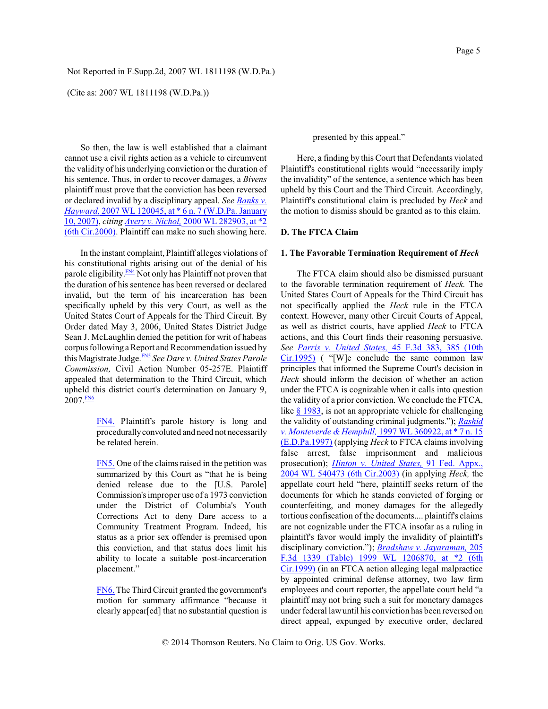(Cite as: 2007 WL 1811198 (W.D.Pa.))

So then, the law is well established that a claimant cannot use a civil rights action as a vehicle to circumvent the validity of his underlying conviction or the duration of his sentence. Thus, in order to recover damages, a *Bivens* plaintiff must prove that the conviction has been reversed or declared invalid by a disciplinary appeal. *See [Banks v.](http://www.westlaw.com/Find/Default.wl?rs=dfa1.0&vr=2.0&DB=0000999&FindType=Y&SerialNum=2011219082) [Hayward,](http://www.westlaw.com/Find/Default.wl?rs=dfa1.0&vr=2.0&DB=0000999&FindType=Y&SerialNum=2011219082)* 2007 WL 120045, at \* 6 n. 7 [\(W.D.Pa. January](http://www.westlaw.com/Find/Default.wl?rs=dfa1.0&vr=2.0&DB=0000999&FindType=Y&SerialNum=2011219082) [10, 2007\)](http://www.westlaw.com/Find/Default.wl?rs=dfa1.0&vr=2.0&DB=0000999&FindType=Y&SerialNum=2011219082), *citing [Avery v. Nichol,](http://www.westlaw.com/Find/Default.wl?rs=dfa1.0&vr=2.0&DB=0000999&FindType=Y&SerialNum=2000077168)* 2000 WL [282903, at \\*2](http://www.westlaw.com/Find/Default.wl?rs=dfa1.0&vr=2.0&DB=0000999&FindType=Y&SerialNum=2000077168) [\(6th Cir.2000\)](http://www.westlaw.com/Find/Default.wl?rs=dfa1.0&vr=2.0&DB=0000999&FindType=Y&SerialNum=2000077168). Plaintiff can make no such showing here.

<span id="page-4-3"></span>In the instant complaint, Plaintiff alleges violations of his constitutional rights arising out of the denial of his parole eligibility.<sup>[FN4](#page-4-0)</sup> Not only has Plaintiff not proven that the duration of his sentence has been reversed or declared invalid, but the term of his incarceration has been specifically upheld by this very Court, as well as the United States Court of Appeals for the Third Circuit. By Order dated May 3, 2006, United States District Judge Sean J. McLaughlin denied the petition for writ of habeas corpus following a Report and Recommendation issued by this Magistrate Judge. Ens See Dare v. United States Parole *Commission,* Civil Action Number 05-257E. Plaintiff appealed that determination to the Third Circuit, which upheld this district court's determination on January 9,  $2007.$   $\frac{FN6}{5}$  $\frac{FN6}{5}$  $\frac{FN6}{5}$ 

> <span id="page-4-5"></span><span id="page-4-4"></span><span id="page-4-0"></span>[FN4.](#page-4-3) Plaintiff's parole history is long and procedurally convoluted and need not necessarily be related herein.

> <span id="page-4-1"></span>[FN5.](#page-4-4) One of the claims raised in the petition was summarized by this Court as "that he is being denied release due to the [U.S. Parole] Commission's improper use of a 1973 conviction under the District of Columbia's Youth Corrections Act to deny Dare access to a Community Treatment Program. Indeed, his status as a prior sex offender is premised upon this conviction, and that status does limit his ability to locate a suitable post-incarceration placement."

> <span id="page-4-2"></span>[FN6.](#page-4-5) The Third Circuit granted the government's motion for summary affirmance "because it clearly appear[ed] that no substantial question is

presented by this appeal."

Here, a finding by this Court that Defendants violated Plaintiff's constitutional rights would "necessarily imply the invalidity" of the sentence, a sentence which has been upheld by this Court and the Third Circuit. Accordingly, Plaintiff's constitutional claim is precluded by *Heck* and the motion to dismiss should be granted as to this claim.

### **D. The FTCA Claim**

### **1. The Favorable Termination Requirement of** *Heck*

The FTCA claim should also be dismissed pursuant to the favorable termination requirement of *Heck.* The United States Court of Appeals for the Third Circuit has not specifically applied the *Heck* rule in the FTCA context. However, many other Circuit Courts of Appeal, as well as district courts, have applied *Heck* to FTCA actions, and this Court finds their reasoning persuasive. *See [Parris v. United](http://www.westlaw.com/Find/Default.wl?rs=dfa1.0&vr=2.0&DB=506&FindType=Y&ReferencePositionType=S&SerialNum=1995031902&ReferencePosition=385) States,* 45 F.3d [383, 385](http://www.westlaw.com/Find/Default.wl?rs=dfa1.0&vr=2.0&DB=506&FindType=Y&ReferencePositionType=S&SerialNum=1995031902&ReferencePosition=385) (10th [Cir.1995\)](http://www.westlaw.com/Find/Default.wl?rs=dfa1.0&vr=2.0&DB=506&FindType=Y&ReferencePositionType=S&SerialNum=1995031902&ReferencePosition=385) ( "[W]e conclude the same common law principles that informed the Supreme Court's decision in *Heck* should inform the decision of whether an action under the FTCA is cognizable when it calls into question the validity of a prior conviction. We conclude the FTCA, like [§ 1983](http://www.westlaw.com/Find/Default.wl?rs=dfa1.0&vr=2.0&DB=1000546&DocName=42USCAS1983&FindType=L), is not an appropriate vehicle for challenging the validity of outstanding criminal judgments."); *[Rashid](http://www.westlaw.com/Find/Default.wl?rs=dfa1.0&vr=2.0&DB=0000999&FindType=Y&SerialNum=1997138904) [v. Monteverde &](http://www.westlaw.com/Find/Default.wl?rs=dfa1.0&vr=2.0&DB=0000999&FindType=Y&SerialNum=1997138904) Hemphill,* 1997 WL [360922, at \\*](http://www.westlaw.com/Find/Default.wl?rs=dfa1.0&vr=2.0&DB=0000999&FindType=Y&SerialNum=1997138904) 7 n. 15 [\(E.D.Pa.1997\)](http://www.westlaw.com/Find/Default.wl?rs=dfa1.0&vr=2.0&DB=0000999&FindType=Y&SerialNum=1997138904) (applying *Heck* to FTCA claims involving false arrest, false imprisonment and malicious prosecution); *Hinton [v. United](http://www.westlaw.com/Find/Default.wl?rs=dfa1.0&vr=2.0&DB=0000999&FindType=Y&SerialNum=2004238838) States,* [91 Fed. Appx.,](http://www.westlaw.com/Find/Default.wl?rs=dfa1.0&vr=2.0&DB=0000999&FindType=Y&SerialNum=2004238838) 2004 WL 540473 (6th [Cir.2003\)](http://www.westlaw.com/Find/Default.wl?rs=dfa1.0&vr=2.0&DB=0000999&FindType=Y&SerialNum=2004238838) (in applying *Heck,* the appellate court held "here, plaintiff seeks return of the documents for which he stands convicted of forging or counterfeiting, and money damages for the allegedly tortious confiscation of the documents.... plaintiff's claims are not cognizable under the FTCA insofar as a ruling in plaintiff's favor would imply the invalidity of plaintiff's disciplinary conviction."); *[Bradshaw v. Jayaraman,](http://www.westlaw.com/Find/Default.wl?rs=dfa1.0&vr=2.0&DB=0000999&FindType=Y&SerialNum=1999277381)* [205](http://www.westlaw.com/Find/Default.wl?rs=dfa1.0&vr=2.0&DB=0000999&FindType=Y&SerialNum=1999277381) F.3d 1339 (Table) 1999 WL [1206870, at \\*2](http://www.westlaw.com/Find/Default.wl?rs=dfa1.0&vr=2.0&DB=0000999&FindType=Y&SerialNum=1999277381) (6th [Cir.1999\)](http://www.westlaw.com/Find/Default.wl?rs=dfa1.0&vr=2.0&DB=0000999&FindType=Y&SerialNum=1999277381) (in an FTCA action alleging legal malpractice by appointed criminal defense attorney, two law firm employees and court reporter, the appellate court held "a plaintiff may not bring such a suit for monetary damages under federal lawuntil his conviction has been reversed on direct appeal, expunged by executive order, declared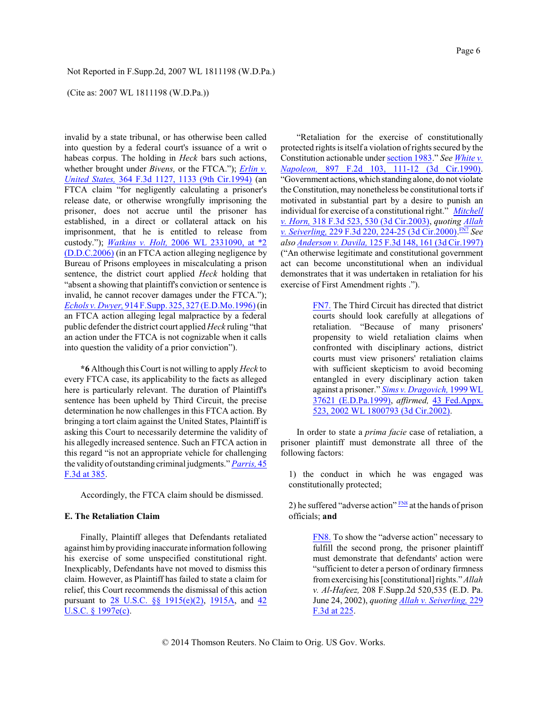### (Cite as: 2007 WL 1811198 (W.D.Pa.))

invalid by a state tribunal, or has otherwise been called into question by a federal court's issuance of a writ o habeas corpus. The holding in *Heck* bars such actions, whether brought under *Bivens,* or the FTCA."); *[Erlin](http://www.westlaw.com/Find/Default.wl?rs=dfa1.0&vr=2.0&DB=506&FindType=Y&ReferencePositionType=S&SerialNum=2004340149&ReferencePosition=1133) v. [United](http://www.westlaw.com/Find/Default.wl?rs=dfa1.0&vr=2.0&DB=506&FindType=Y&ReferencePositionType=S&SerialNum=2004340149&ReferencePosition=1133) States,* 364 F.3d [1127, 1133](http://www.westlaw.com/Find/Default.wl?rs=dfa1.0&vr=2.0&DB=506&FindType=Y&ReferencePositionType=S&SerialNum=2004340149&ReferencePosition=1133) (9th Cir.1994) (an FTCA claim "for negligently calculating a prisoner's release date, or otherwise wrongfully imprisoning the prisoner, does not accrue until the prisoner has established, in a direct or collateral attack on his imprisonment, that he is entitled to release from custody."); *[Watkins v. Holt,](http://www.westlaw.com/Find/Default.wl?rs=dfa1.0&vr=2.0&DB=0000999&FindType=Y&SerialNum=2009720811)* 2006 WL [2331090, at \\*2](http://www.westlaw.com/Find/Default.wl?rs=dfa1.0&vr=2.0&DB=0000999&FindType=Y&SerialNum=2009720811) [\(D.D.C.2006\)](http://www.westlaw.com/Find/Default.wl?rs=dfa1.0&vr=2.0&DB=0000999&FindType=Y&SerialNum=2009720811) (in an FTCA action alleging negligence by Bureau of Prisons employees in miscalculating a prison sentence, the district court applied *Heck* holding that "absent a showing that plaintiff's conviction or sentence is invalid, he cannot recover damages under the FTCA."); *[Echols v. Dwyer,](http://www.westlaw.com/Find/Default.wl?rs=dfa1.0&vr=2.0&DB=345&FindType=Y&ReferencePositionType=S&SerialNum=1996045543&ReferencePosition=327)* 914 [F.Supp. 325, 327 \(E.D.Mo.1996\)](http://www.westlaw.com/Find/Default.wl?rs=dfa1.0&vr=2.0&DB=345&FindType=Y&ReferencePositionType=S&SerialNum=1996045543&ReferencePosition=327)(in an FTCA action alleging legal malpractice by a federal public defender the district court applied *Heck* ruling "that an action under the FTCA is not cognizable when it calls into question the validity of a prior conviction").

**\*6** Although this Court is not willing to apply *Heck* to every FTCA case, its applicability to the facts as alleged here is particularly relevant. The duration of Plaintiff's sentence has been upheld by Third Circuit, the precise determination he now challenges in this FTCA action. By bringing a tort claim against the United States, Plaintiff is asking this Court to necessarily determine the validity of his allegedly increased sentence. Such an FTCA action in this regard "is not an appropriate vehicle for challenging the validityof outstanding criminal judgments." *[Parris,](http://www.westlaw.com/Find/Default.wl?rs=dfa1.0&vr=2.0&DB=506&FindType=Y&ReferencePositionType=S&SerialNum=1995031902&ReferencePosition=385)* [45](http://www.westlaw.com/Find/Default.wl?rs=dfa1.0&vr=2.0&DB=506&FindType=Y&ReferencePositionType=S&SerialNum=1995031902&ReferencePosition=385) [F.3d at 385](http://www.westlaw.com/Find/Default.wl?rs=dfa1.0&vr=2.0&DB=506&FindType=Y&ReferencePositionType=S&SerialNum=1995031902&ReferencePosition=385).

Accordingly, the FTCA claim should be dismissed.

### **E. The Retaliation Claim**

Finally, Plaintiff alleges that Defendants retaliated against himby providing inaccurate information following his exercise of some unspecified constitutional right. Inexplicably, Defendants have not moved to dismiss this claim. However, as Plaintiff has failed to state a claim for relief, this Court recommends the dismissal of this action pursuant to 28 U.S.C. §§ [1915\(e\)\(2\)](http://www.westlaw.com/Find/Default.wl?rs=dfa1.0&vr=2.0&DB=1000546&DocName=28USCAS1915&FindType=L), [1915A](http://www.westlaw.com/Find/Default.wl?rs=dfa1.0&vr=2.0&DB=1000546&DocName=28USCAS1915A&FindType=L), and [42](http://www.westlaw.com/Find/Default.wl?rs=dfa1.0&vr=2.0&DB=1000546&DocName=42USCAS1997E&FindType=L) [U.S.C. § 1997e\(c\)](http://www.westlaw.com/Find/Default.wl?rs=dfa1.0&vr=2.0&DB=1000546&DocName=42USCAS1997E&FindType=L).

"Retaliation for the exercise of constitutionally protected rights is itself a violation ofrights secured by the Constitution actionable under [section](http://www.westlaw.com/Find/Default.wl?rs=dfa1.0&vr=2.0&DB=1000546&DocName=42USCAS1983&FindType=L) 1983." *See [White v.](http://www.westlaw.com/Find/Default.wl?rs=dfa1.0&vr=2.0&DB=350&FindType=Y&ReferencePositionType=S&SerialNum=1990040277&ReferencePosition=111) [Napoleon,](http://www.westlaw.com/Find/Default.wl?rs=dfa1.0&vr=2.0&DB=350&FindType=Y&ReferencePositionType=S&SerialNum=1990040277&ReferencePosition=111)* 897 F.2d 103, 111-12 [\(3d Cir.1990\)](http://www.westlaw.com/Find/Default.wl?rs=dfa1.0&vr=2.0&DB=350&FindType=Y&ReferencePositionType=S&SerialNum=1990040277&ReferencePosition=111). "Government actions, which standing alone, do not violate the Constitution, may nonetheless be constitutional torts if motivated in substantial part by a desire to punish an individual for exercise of a constitutional right." *[Mitchell](http://www.westlaw.com/Find/Default.wl?rs=dfa1.0&vr=2.0&DB=506&FindType=Y&ReferencePositionType=S&SerialNum=2003114164&ReferencePosition=530) [v. Horn,](http://www.westlaw.com/Find/Default.wl?rs=dfa1.0&vr=2.0&DB=506&FindType=Y&ReferencePositionType=S&SerialNum=2003114164&ReferencePosition=530)* [318 F.3d 523, 530 \(3d Cir.2003\)](http://www.westlaw.com/Find/Default.wl?rs=dfa1.0&vr=2.0&DB=506&FindType=Y&ReferencePositionType=S&SerialNum=2003114164&ReferencePosition=530), *quoting [Allah](http://www.westlaw.com/Find/Default.wl?rs=dfa1.0&vr=2.0&DB=506&FindType=Y&ReferencePositionType=S&SerialNum=2000552792&ReferencePosition=224) [v. Seiverling,](http://www.westlaw.com/Find/Default.wl?rs=dfa1.0&vr=2.0&DB=506&FindType=Y&ReferencePositionType=S&SerialNum=2000552792&ReferencePosition=224)* 229 F.3d [220, 224-25](http://www.westlaw.com/Find/Default.wl?rs=dfa1.0&vr=2.0&DB=506&FindType=Y&ReferencePositionType=S&SerialNum=2000552792&ReferencePosition=224) (3d Cir.2000). [FN7](#page-5-0) *See also Anderson [v. Davila,](http://www.westlaw.com/Find/Default.wl?rs=dfa1.0&vr=2.0&DB=506&FindType=Y&ReferencePositionType=S&SerialNum=1997186481&ReferencePosition=161)* 125 F.3d 148, 161 (3d [Cir.1997\)](http://www.westlaw.com/Find/Default.wl?rs=dfa1.0&vr=2.0&DB=506&FindType=Y&ReferencePositionType=S&SerialNum=1997186481&ReferencePosition=161) ("An otherwise legitimate and constitutional government act can become unconstitutional when an individual demonstrates that it was undertaken in retaliation for his exercise of First Amendment rights .").

> <span id="page-5-1"></span><span id="page-5-0"></span>[FN7.](#page-5-1) The Third Circuit has directed that district courts should look carefully at allegations of retaliation. "Because of many prisoners' propensity to wield retaliation claims when confronted with disciplinary actions, district courts must view prisoners' retaliation claims with sufficient skepticism to avoid becoming entangled in every disciplinary action taken against a prisoner." *[Sims v. Dragovich,](http://www.westlaw.com/Find/Default.wl?rs=dfa1.0&vr=2.0&DB=999&FindType=Y&SerialNum=0110401193)* [1999](http://www.westlaw.com/Find/Default.wl?rs=dfa1.0&vr=2.0&DB=999&FindType=Y&SerialNum=0110401193) WL 37621 [\(E.D.Pa.1999\)](http://www.westlaw.com/Find/Default.wl?rs=dfa1.0&vr=2.0&DB=999&FindType=Y&SerialNum=0110401193), *affirmed,* 43 [Fed.Appx.](http://www.westlaw.com/Find/Default.wl?rs=dfa1.0&vr=2.0&DB=6538&FindType=Y&SerialNum=2002493786) [523, 2002 WL 1800793 \(3d Cir.2002\)](http://www.westlaw.com/Find/Default.wl?rs=dfa1.0&vr=2.0&DB=6538&FindType=Y&SerialNum=2002493786).

In order to state a *prima facie* case of retaliation, a prisoner plaintiff must demonstrate all three of the following factors:

1) the conduct in which he was engaged was constitutionally protected;

2) he suffered "adverse action"  $\frac{FN8}{FN8}$  $\frac{FN8}{FN8}$  $\frac{FN8}{FN8}$  at the hands of prison officials; **and**

> <span id="page-5-3"></span><span id="page-5-2"></span>[FN8.](#page-5-3) To show the "adverse action" necessary to fulfill the second prong, the prisoner plaintiff must demonstrate that defendants' action were "sufficient to deter a person of ordinary firmness fromexercising his [constitutional] rights." *Allah v. Al-Hafeez,* 208 F.Supp.2d 520,535 (E.D. Pa. June 24, 2002), *quoting Allah [v. Seiverling,](http://www.westlaw.com/Find/Default.wl?rs=dfa1.0&vr=2.0&DB=506&FindType=Y&ReferencePositionType=S&SerialNum=2000552792&ReferencePosition=225)* [229](http://www.westlaw.com/Find/Default.wl?rs=dfa1.0&vr=2.0&DB=506&FindType=Y&ReferencePositionType=S&SerialNum=2000552792&ReferencePosition=225) [F.3d at 225](http://www.westlaw.com/Find/Default.wl?rs=dfa1.0&vr=2.0&DB=506&FindType=Y&ReferencePositionType=S&SerialNum=2000552792&ReferencePosition=225).